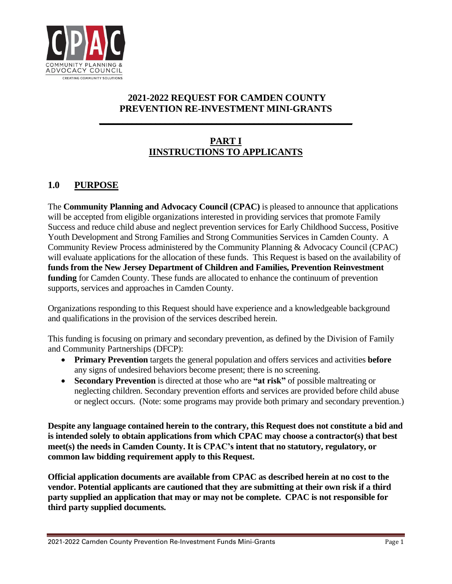

# **2021-2022 REQUEST FOR CAMDEN COUNTY PREVENTION RE-INVESTMENT MINI-GRANTS**

**\_\_\_\_\_\_\_\_\_\_\_\_\_\_\_\_\_\_\_\_\_\_\_\_\_\_\_\_\_\_\_\_\_\_\_\_\_\_\_\_\_\_\_\_\_\_\_\_\_\_\_\_\_\_**

# **PART I IINSTRUCTIONS TO APPLICANTS**

# **1.0 PURPOSE**

The **Community Planning and Advocacy Council (CPAC)** is pleased to announce that applications will be accepted from eligible organizations interested in providing services that promote Family Success and reduce child abuse and neglect prevention services for Early Childhood Success, Positive Youth Development and Strong Families and Strong Communities Services in Camden County. A Community Review Process administered by the Community Planning & Advocacy Council (CPAC) will evaluate applications for the allocation of these funds. This Request is based on the availability of **funds from the New Jersey Department of Children and Families, Prevention Reinvestment funding** for Camden County. These funds are allocated to enhance the continuum of prevention supports, services and approaches in Camden County.

Organizations responding to this Request should have experience and a knowledgeable background and qualifications in the provision of the services described herein.

This funding is focusing on primary and secondary prevention, as defined by the Division of Family and Community Partnerships (DFCP):

- **Primary Prevention** targets the general population and offers services and activities **before** any signs of undesired behaviors become present; there is no screening.
- **Secondary Prevention** is directed at those who are **"at risk"** of possible maltreating or neglecting children. Secondary prevention efforts and services are provided before child abuse or neglect occurs. (Note: some programs may provide both primary and secondary prevention.)

**Despite any language contained herein to the contrary, this Request does not constitute a bid and is intended solely to obtain applications from which CPAC may choose a contractor(s) that best meet(s) the needs in Camden County. It is CPAC's intent that no statutory, regulatory, or common law bidding requirement apply to this Request.** 

**Official application documents are available from CPAC as described herein at no cost to the vendor. Potential applicants are cautioned that they are submitting at their own risk if a third party supplied an application that may or may not be complete. CPAC is not responsible for third party supplied documents.**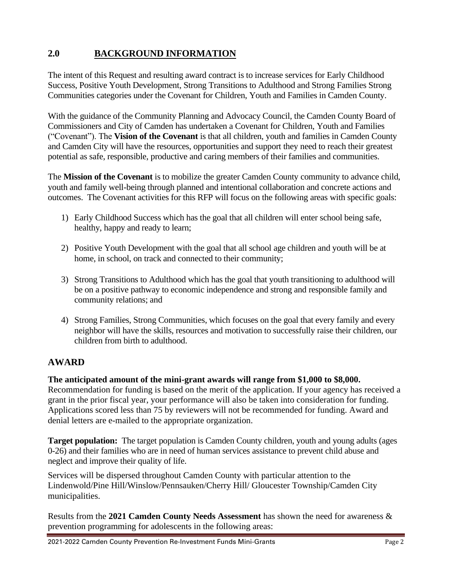# **2.0 BACKGROUND INFORMATION**

The intent of this Request and resulting award contract is to increase services for Early Childhood Success, Positive Youth Development, Strong Transitions to Adulthood and Strong Families Strong Communities categories under the Covenant for Children, Youth and Families in Camden County.

With the guidance of the Community Planning and Advocacy Council, the Camden County Board of Commissioners and City of Camden has undertaken a Covenant for Children, Youth and Families ("Covenant"). The **Vision of the Covenant** is that all children, youth and families in Camden County and Camden City will have the resources, opportunities and support they need to reach their greatest potential as safe, responsible, productive and caring members of their families and communities.

The **Mission of the Covenant** is to mobilize the greater Camden County community to advance child, youth and family well-being through planned and intentional collaboration and concrete actions and outcomes. The Covenant activities for this RFP will focus on the following areas with specific goals:

- 1) Early Childhood Success which has the goal that all children will enter school being safe, healthy, happy and ready to learn;
- 2) Positive Youth Development with the goal that all school age children and youth will be at home, in school, on track and connected to their community;
- 3) Strong Transitions to Adulthood which has the goal that youth transitioning to adulthood will be on a positive pathway to economic independence and strong and responsible family and community relations; and
- 4) Strong Families, Strong Communities, which focuses on the goal that every family and every neighbor will have the skills, resources and motivation to successfully raise their children, our children from birth to adulthood.

#### **AWARD**

#### **The anticipated amount of the mini-grant awards will range from \$1,000 to \$8,000.**

Recommendation for funding is based on the merit of the application. If your agency has received a grant in the prior fiscal year, your performance will also be taken into consideration for funding. Applications scored less than 75 by reviewers will not be recommended for funding. Award and denial letters are e-mailed to the appropriate organization.

**Target population:** The target population is Camden County children, youth and young adults (ages 0-26) and their families who are in need of human services assistance to prevent child abuse and neglect and improve their quality of life.

Services will be dispersed throughout Camden County with particular attention to the Lindenwold/Pine Hill/Winslow/Pennsauken/Cherry Hill/ Gloucester Township/Camden City municipalities.

Results from the **2021 Camden County Needs Assessment** has shown the need for awareness & prevention programming for adolescents in the following areas: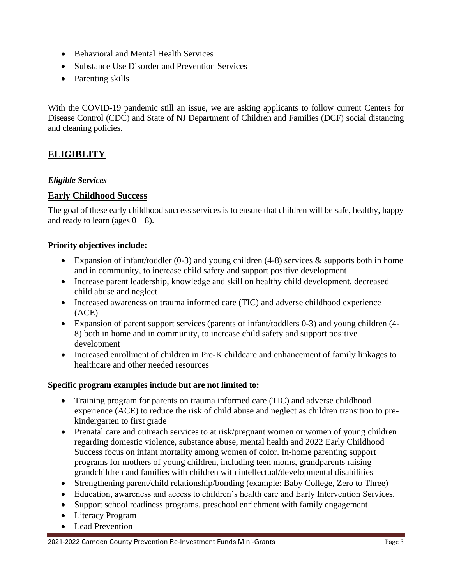- Behavioral and Mental Health Services
- Substance Use Disorder and Prevention Services
- Parenting skills

With the COVID-19 pandemic still an issue, we are asking applicants to follow current Centers for Disease Control (CDC) and State of NJ Department of Children and Families (DCF) social distancing and cleaning policies.

# **ELIGIBLITY**

#### *Eligible Services*

#### **Early Childhood Success**

The goal of these early childhood success services is to ensure that children will be safe, healthy, happy and ready to learn (ages  $0 - 8$ ).

#### **Priority objectives include:**

- Expansion of infant/toddler  $(0-3)$  and young children  $(4-8)$  services & supports both in home and in community, to increase child safety and support positive development
- Increase parent leadership, knowledge and skill on healthy child development, decreased child abuse and neglect
- Increased awareness on trauma informed care (TIC) and adverse childhood experience (ACE)
- Expansion of parent support services (parents of infant/toddlers 0-3) and young children (4- 8) both in home and in community, to increase child safety and support positive development
- Increased enrollment of children in Pre-K childcare and enhancement of family linkages to healthcare and other needed resources

#### **Specific program examples include but are not limited to:**

- Training program for parents on trauma informed care (TIC) and adverse childhood experience (ACE) to reduce the risk of child abuse and neglect as children transition to prekindergarten to first grade
- Prenatal care and outreach services to at risk/pregnant women or women of young children regarding domestic violence, substance abuse, mental health and 2022 Early Childhood Success focus on infant mortality among women of color. In-home parenting support programs for mothers of young children, including teen moms, grandparents raising grandchildren and families with children with intellectual/developmental disabilities
- Strengthening parent/child relationship/bonding (example: Baby College, Zero to Three)
- Education, awareness and access to children's health care and Early Intervention Services.
- Support school readiness programs, preschool enrichment with family engagement
- Literacy Program
- Lead Prevention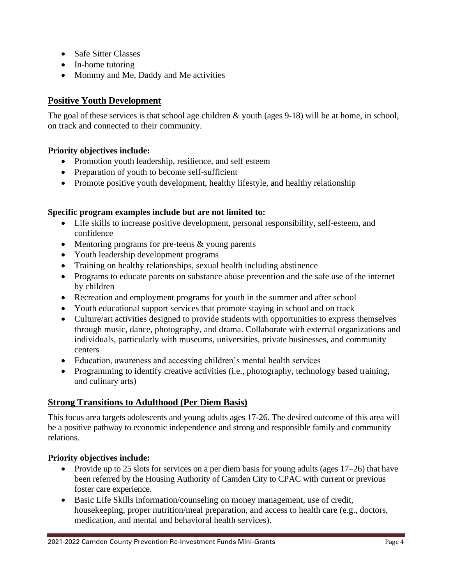- Safe Sitter Classes
- In-home tutoring
- Mommy and Me, Daddy and Me activities

## **Positive Youth Development**

The goal of these services is that school age children & youth (ages 9-18) will be at home, in school, on track and connected to their community.

#### **Priority objectives include:**

- Promotion youth leadership, resilience, and self esteem
- Preparation of youth to become self-sufficient
- Promote positive youth development, healthy lifestyle, and healthy relationship

#### **Specific program examples include but are not limited to:**

- Life skills to increase positive development, personal responsibility, self-esteem, and confidence
- Mentoring programs for pre-teens & young parents
- Youth leadership development programs
- Training on healthy relationships, sexual health including abstinence
- Programs to educate parents on substance abuse prevention and the safe use of the internet by children
- Recreation and employment programs for youth in the summer and after school
- Youth educational support services that promote staying in school and on track
- Culture/art activities designed to provide students with opportunities to express themselves through music, dance, photography, and drama. Collaborate with external organizations and individuals, particularly with museums, universities, private businesses, and community centers
- Education, awareness and accessing children's mental health services
- Programming to identify creative activities (i.e., photography, technology based training, and culinary arts)

#### **Strong Transitions to Adulthood (Per Diem Basis)**

This focus area targets adolescents and young adults ages 17-26. The desired outcome of this area will be a positive pathway to economic independence and strong and responsible family and community relations.

#### **Priority objectives include:**

- Provide up to 25 slots for services on a per diem basis for young adults (ages 17–26) that have been referred by the Housing Authority of Camden City to CPAC with current or previous foster care experience.
- Basic Life Skills information/counseling on money management, use of credit, housekeeping, proper nutrition/meal preparation, and access to health care (e.g., doctors, medication, and mental and behavioral health services).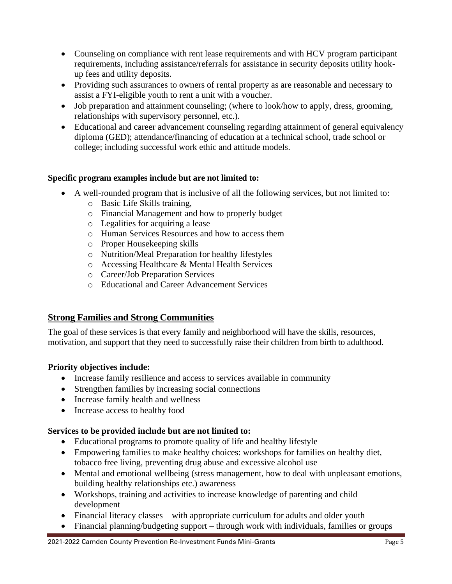- Counseling on compliance with rent lease requirements and with HCV program participant requirements, including assistance/referrals for assistance in security deposits utility hookup fees and utility deposits.
- Providing such assurances to owners of rental property as are reasonable and necessary to assist a FYI-eligible youth to rent a unit with a voucher.
- Job preparation and attainment counseling; (where to look/how to apply, dress, grooming, relationships with supervisory personnel, etc.).
- Educational and career advancement counseling regarding attainment of general equivalency diploma (GED); attendance/financing of education at a technical school, trade school or college; including successful work ethic and attitude models.

#### **Specific program examples include but are not limited to:**

- A well-rounded program that is inclusive of all the following services, but not limited to:
	- o Basic Life Skills training,
	- o Financial Management and how to properly budget
	- o Legalities for acquiring a lease
	- o Human Services Resources and how to access them
	- o Proper Housekeeping skills
	- o Nutrition/Meal Preparation for healthy lifestyles
	- o Accessing Healthcare & Mental Health Services
	- o Career/Job Preparation Services
	- o Educational and Career Advancement Services

# **Strong Families and Strong Communities**

The goal of these services is that every family and neighborhood will have the skills, resources, motivation, and support that they need to successfully raise their children from birth to adulthood.

#### **Priority objectives include:**

- Increase family resilience and access to services available in community
- Strengthen families by increasing social connections
- Increase family health and wellness
- Increase access to healthy food

#### **Services to be provided include but are not limited to:**

- Educational programs to promote quality of life and healthy lifestyle
- Empowering families to make healthy choices: workshops for families on healthy diet, tobacco free living, preventing drug abuse and excessive alcohol use
- Mental and emotional wellbeing (stress management, how to deal with unpleasant emotions, building healthy relationships etc.) awareness
- Workshops, training and activities to increase knowledge of parenting and child development
- Financial literacy classes with appropriate curriculum for adults and older youth
- Financial planning/budgeting support through work with individuals, families or groups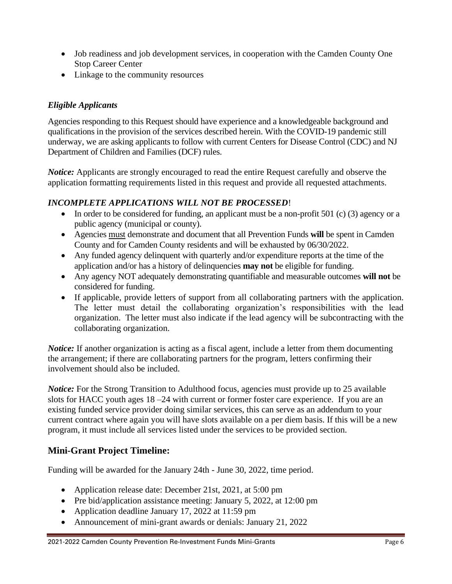- Job readiness and job development services, in cooperation with the Camden County One Stop Career Center
- Linkage to the community resources

# *Eligible Applicants*

Agencies responding to this Request should have experience and a knowledgeable background and qualifications in the provision of the services described herein. With the COVID-19 pandemic still underway, we are asking applicants to follow with current Centers for Disease Control (CDC) and NJ Department of Children and Families (DCF) rules.

*Notice:* Applicants are strongly encouraged to read the entire Request carefully and observe the application formatting requirements listed in this request and provide all requested attachments.

# *INCOMPLETE APPLICATIONS WILL NOT BE PROCESSED*!

- In order to be considered for funding, an applicant must be a non-profit 501 (c) (3) agency or a public agency (municipal or county).
- Agencies must demonstrate and document that all Prevention Funds **will** be spent in Camden County and for Camden County residents and will be exhausted by 06/30/2022.
- Any funded agency delinquent with quarterly and/or expenditure reports at the time of the application and/or has a history of delinquencies **may not** be eligible for funding.
- Any agency NOT adequately demonstrating quantifiable and measurable outcomes **will not** be considered for funding.
- If applicable, provide letters of support from all collaborating partners with the application. The letter must detail the collaborating organization's responsibilities with the lead organization. The letter must also indicate if the lead agency will be subcontracting with the collaborating organization.

*Notice:* If another organization is acting as a fiscal agent, include a letter from them documenting the arrangement; if there are collaborating partners for the program, letters confirming their involvement should also be included.

*Notice:* For the Strong Transition to Adulthood focus, agencies must provide up to 25 available slots for HACC youth ages 18 –24 with current or former foster care experience. If you are an existing funded service provider doing similar services, this can serve as an addendum to your current contract where again you will have slots available on a per diem basis. If this will be a new program, it must include all services listed under the services to be provided section.

# **Mini-Grant Project Timeline:**

Funding will be awarded for the January 24th - June 30, 2022, time period.

- Application release date: December 21st, 2021, at 5:00 pm
- Pre bid/application assistance meeting: January 5, 2022, at 12:00 pm
- Application deadline January 17, 2022 at 11:59 pm
- Announcement of mini-grant awards or denials: January 21, 2022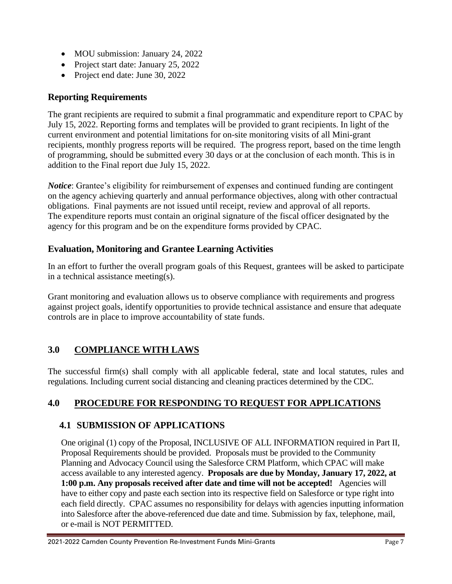- MOU submission: January 24, 2022
- Project start date: January 25, 2022
- Project end date: June 30, 2022

# **Reporting Requirements**

The grant recipients are required to submit a final programmatic and expenditure report to CPAC by July 15, 2022. Reporting forms and templates will be provided to grant recipients. In light of the current environment and potential limitations for on-site monitoring visits of all Mini-grant recipients, monthly progress reports will be required. The progress report, based on the time length of programming, should be submitted every 30 days or at the conclusion of each month. This is in addition to the Final report due July 15, 2022.

*Notice*: Grantee's eligibility for reimbursement of expenses and continued funding are contingent on the agency achieving quarterly and annual performance objectives, along with other contractual obligations. Final payments are not issued until receipt, review and approval of all reports. The expenditure reports must contain an original signature of the fiscal officer designated by the agency for this program and be on the expenditure forms provided by CPAC.

# **Evaluation, Monitoring and Grantee Learning Activities**

In an effort to further the overall program goals of this Request, grantees will be asked to participate in a technical assistance meeting(s).

Grant monitoring and evaluation allows us to observe compliance with requirements and progress against project goals, identify opportunities to provide technical assistance and ensure that adequate controls are in place to improve accountability of state funds.

# **3.0 COMPLIANCE WITH LAWS**

The successful firm(s) shall comply with all applicable federal, state and local statutes, rules and regulations. Including current social distancing and cleaning practices determined by the CDC.

# **4.0 PROCEDURE FOR RESPONDING TO REQUEST FOR APPLICATIONS**

# **4.1 SUBMISSION OF APPLICATIONS**

One original (1) copy of the Proposal, INCLUSIVE OF ALL INFORMATION required in Part II, Proposal Requirements should be provided. Proposals must be provided to the Community Planning and Advocacy Council using the Salesforce CRM Platform, which CPAC will make access available to any interested agency. **Proposals are due by Monday, January 17, 2022, at 1:00 p.m. Any proposals received after date and time will not be accepted!** Agencies will have to either copy and paste each section into its respective field on Salesforce or type right into each field directly. CPAC assumes no responsibility for delays with agencies inputting information into Salesforce after the above-referenced due date and time. Submission by fax, telephone, mail, or e-mail is NOT PERMITTED.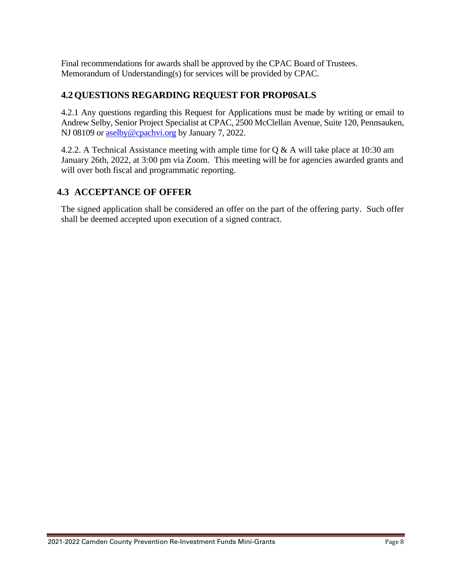Final recommendations for awards shall be approved by the CPAC Board of Trustees. Memorandum of Understanding(s) for services will be provided by CPAC.

# **4.2 QUESTIONS REGARDING REQUEST FOR PROP0SALS**

4.2.1 Any questions regarding this Request for Applications must be made by writing or email to Andrew Selby, Senior Project Specialist at CPAC, 2500 McClellan Avenue, Suite 120, Pennsauken, NJ 08109 or [aselby@cpachvi.org](mailto:aselby@cpachvi.org) by January 7, 2022.

4.2.2. A Technical Assistance meeting with ample time for Q & A will take place at 10:30 am January 26th, 2022, at 3:00 pm via Zoom. This meeting will be for agencies awarded grants and will over both fiscal and programmatic reporting.

# **4.3 ACCEPTANCE OF OFFER**

The signed application shall be considered an offer on the part of the offering party. Such offer shall be deemed accepted upon execution of a signed contract.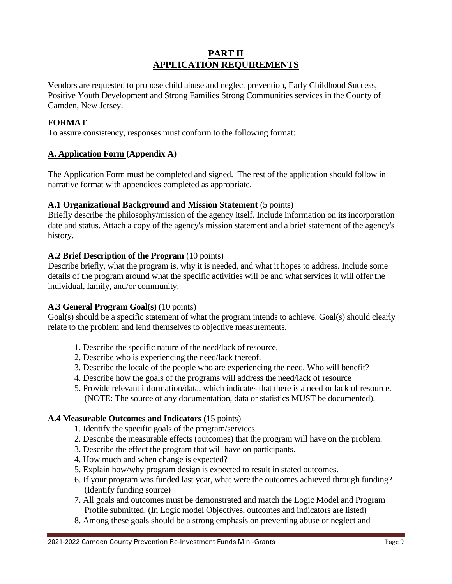#### **PART II APPLICATION REQUIREMENTS**

Vendors are requested to propose child abuse and neglect prevention, Early Childhood Success, Positive Youth Development and Strong Families Strong Communities services in the County of Camden, New Jersey.

#### **FORMAT**

To assure consistency, responses must conform to the following format:

#### **A. Application Form (Appendix A)**

The Application Form must be completed and signed. The rest of the application should follow in narrative format with appendices completed as appropriate.

#### **A.1 Organizational Background and Mission Statement** (5 points)

Briefly describe the philosophy/mission of the agency itself. Include information on its incorporation date and status. Attach a copy of the agency's mission statement and a brief statement of the agency's history.

#### **A.2 Brief Description of the Program** (10 points)

Describe briefly, what the program is, why it is needed, and what it hopes to address. Include some details of the program around what the specific activities will be and what services it will offer the individual, family, and/or community.

#### **A.3 General Program Goal(s)** (10 points)

Goal(s) should be a specific statement of what the program intends to achieve. Goal(s) should clearly relate to the problem and lend themselves to objective measurements.

- 1. Describe the specific nature of the need/lack of resource.
- 2. Describe who is experiencing the need/lack thereof.
- 3. Describe the locale of the people who are experiencing the need. Who will benefit?
- 4. Describe how the goals of the programs will address the need/lack of resource
- 5. Provide relevant information/data, which indicates that there is a need or lack of resource. (NOTE: The source of any documentation, data or statistics MUST be documented).

#### **A.4 Measurable Outcomes and Indicators (**15 points)

- 1. Identify the specific goals of the program/services.
- 2. Describe the measurable effects (outcomes) that the program will have on the problem.
- 3. Describe the effect the program that will have on participants.
- 4. How much and when change is expected?
- 5. Explain how/why program design is expected to result in stated outcomes.
- 6. If your program was funded last year, what were the outcomes achieved through funding? (Identify funding source)
- 7. All goals and outcomes must be demonstrated and match the Logic Model and Program Profile submitted. (In Logic model Objectives, outcomes and indicators are listed)
- 8. Among these goals should be a strong emphasis on preventing abuse or neglect and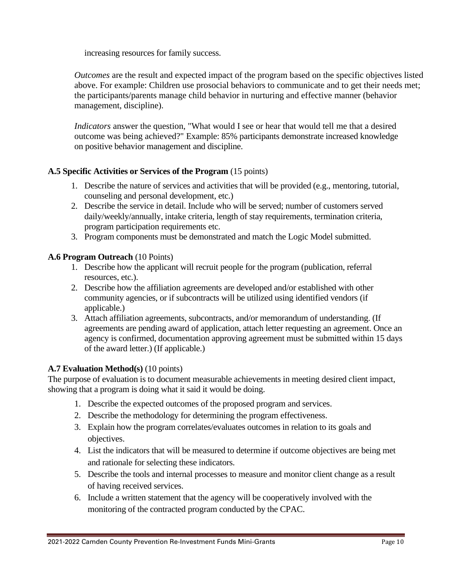increasing resources for family success.

*Outcomes* are the result and expected impact of the program based on the specific objectives listed above. For example: Children use prosocial behaviors to communicate and to get their needs met; the participants/parents manage child behavior in nurturing and effective manner (behavior management, discipline).

*Indicators* answer the question, "What would I see or hear that would tell me that a desired outcome was being achieved?" Example: 85% participants demonstrate increased knowledge on positive behavior management and discipline.

#### **A.5 Specific Activities or Services of the Program** (15 points)

- 1. Describe the nature of services and activities that will be provided (e.g., mentoring, tutorial, counseling and personal development, etc.)
- 2. Describe the service in detail. Include who will be served; number of customers served daily/weekly/annually, intake criteria, length of stay requirements, termination criteria, program participation requirements etc.
- 3. Program components must be demonstrated and match the Logic Model submitted.

#### **A.6 Program Outreach** (10 Points)

- 1. Describe how the applicant will recruit people for the program (publication, referral resources, etc.).
- 2. Describe how the affiliation agreements are developed and/or established with other community agencies, or if subcontracts will be utilized using identified vendors (if applicable.)
- 3. Attach affiliation agreements, subcontracts, and/or memorandum of understanding. (If agreements are pending award of application, attach letter requesting an agreement. Once an agency is confirmed, documentation approving agreement must be submitted within 15 days of the award letter.) (If applicable.)

#### **A.7 Evaluation Method(s)** (10 points)

The purpose of evaluation is to document measurable achievements in meeting desired client impact, showing that a program is doing what it said it would be doing.

- 1. Describe the expected outcomes of the proposed program and services.
- 2. Describe the methodology for determining the program effectiveness.
- 3. Explain how the program correlates/evaluates outcomes in relation to its goals and objectives.
- 4. List the indicators that will be measured to determine if outcome objectives are being met and rationale for selecting these indicators.
- 5. Describe the tools and internal processes to measure and monitor client change as a result of having received services.
- 6. Include a written statement that the agency will be cooperatively involved with the monitoring of the contracted program conducted by the CPAC.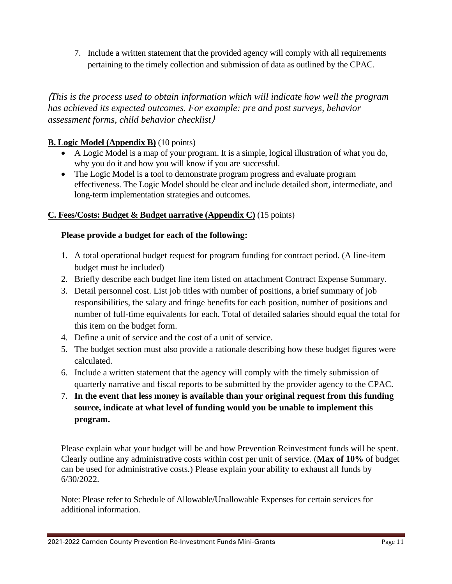7. Include a written statement that the provided agency will comply with all requirements pertaining to the timely collection and submission of data as outlined by the CPAC.

(*This is the process used to obtain information which will indicate how well the program has achieved its expected outcomes. For example: pre and post surveys, behavior assessment forms, child behavior checklist*)

#### **B. Logic Model (Appendix B)** (10 points)

- A Logic Model is a map of your program. It is a simple, logical illustration of what you do, why you do it and how you will know if you are successful.
- The Logic Model is a tool to demonstrate program progress and evaluate program effectiveness. The Logic Model should be clear and include detailed short, intermediate, and long-term implementation strategies and outcomes.

#### **C. Fees/Costs: Budget & Budget narrative (Appendix C)** (15 points)

#### **Please provide a budget for each of the following:**

- 1. A total operational budget request for program funding for contract period. (A line-item budget must be included)
- 2. Briefly describe each budget line item listed on attachment Contract Expense Summary.
- 3. Detail personnel cost. List job titles with number of positions, a brief summary of job responsibilities, the salary and fringe benefits for each position, number of positions and number of full-time equivalents for each. Total of detailed salaries should equal the total for this item on the budget form.
- 4. Define a unit of service and the cost of a unit of service.
- 5. The budget section must also provide a rationale describing how these budget figures were calculated.
- 6. Include a written statement that the agency will comply with the timely submission of quarterly narrative and fiscal reports to be submitted by the provider agency to the CPAC.
- 7. **In the event that less money is available than your original request from this funding source, indicate at what level of funding would you be unable to implement this program.**

Please explain what your budget will be and how Prevention Reinvestment funds will be spent. Clearly outline any administrative costs within cost per unit of service. (**Max of 10%** of budget can be used for administrative costs.) Please explain your ability to exhaust all funds by 6/30/2022.

Note: Please refer to Schedule of Allowable/Unallowable Expenses for certain services for additional information.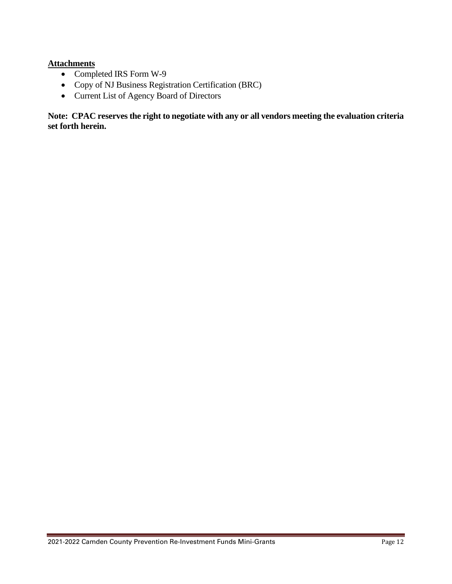#### **Attachments**

- Completed IRS Form W-9
- Copy of NJ Business Registration Certification (BRC)
- Current List of Agency Board of Directors

**Note: CPAC reserves the right to negotiate with any or all vendors meeting the evaluation criteria set forth herein.**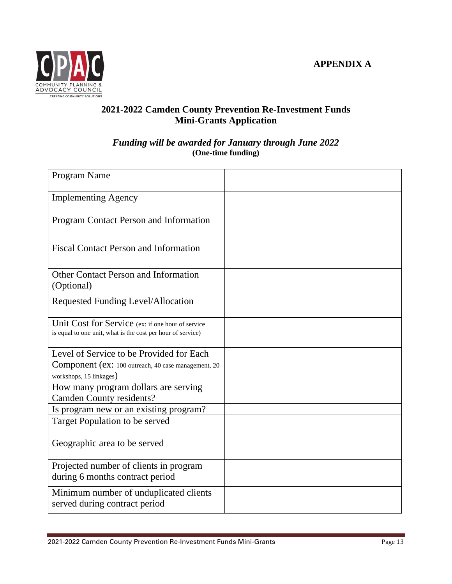

# **2021-2022 Camden County Prevention Re-Investment Funds Mini-Grants Application**

#### *Funding will be awarded for January through June 2022* **(One-time funding)**

| Program Name                                                                                                     |  |
|------------------------------------------------------------------------------------------------------------------|--|
| <b>Implementing Agency</b>                                                                                       |  |
| Program Contact Person and Information                                                                           |  |
| <b>Fiscal Contact Person and Information</b>                                                                     |  |
| <b>Other Contact Person and Information</b><br>(Optional)                                                        |  |
| Requested Funding Level/Allocation                                                                               |  |
| Unit Cost for Service (ex: if one hour of service<br>is equal to one unit, what is the cost per hour of service) |  |
| Level of Service to be Provided for Each                                                                         |  |
| Component (ex: 100 outreach, 40 case management, 20                                                              |  |
| workshops, 15 linkages)                                                                                          |  |
| How many program dollars are serving                                                                             |  |
| <b>Camden County residents?</b>                                                                                  |  |
| Is program new or an existing program?                                                                           |  |
| Target Population to be served                                                                                   |  |
| Geographic area to be served                                                                                     |  |
| Projected number of clients in program<br>during 6 months contract period                                        |  |
| Minimum number of unduplicated clients<br>served during contract period                                          |  |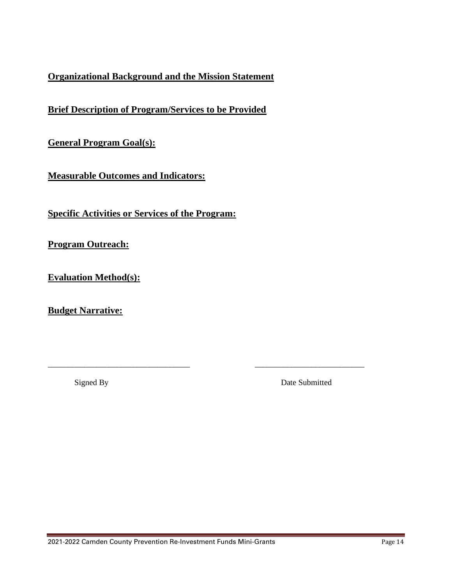# **Organizational Background and the Mission Statement**

**Brief Description of Program/Services to be Provided**

**General Program Goal(s):**

**Measurable Outcomes and Indicators:**

**Specific Activities or Services of the Program:** 

**Program Outreach:**

**Evaluation Method(s):**

**Budget Narrative:**

Signed By Date Submitted

\_\_\_\_\_\_\_\_\_\_\_\_\_\_\_\_\_\_\_\_\_\_\_\_\_\_\_\_\_\_\_\_\_\_\_ \_\_\_\_\_\_\_\_\_\_\_\_\_\_\_\_\_\_\_\_\_\_\_\_\_\_\_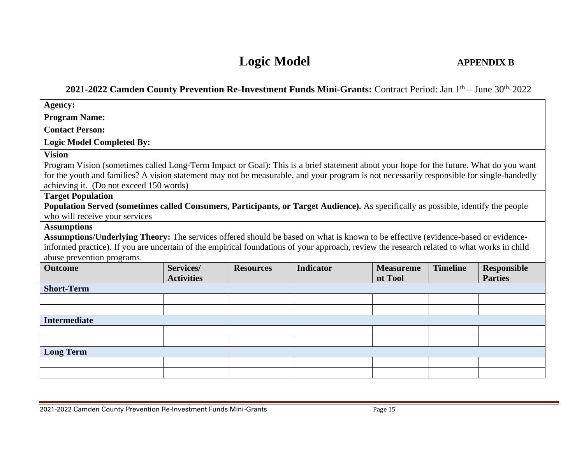# **Logic Model APPENDIX B**

#### **2021-2022 Camden County Prevention Re-Investment Funds Mini-Grants:** Contract Period: Jan 1 th – June 30th, 2022

| Agency:                                                                                                                                    |                                                                                                                                                                                      |                  |                  |                             |                 |                                      |
|--------------------------------------------------------------------------------------------------------------------------------------------|--------------------------------------------------------------------------------------------------------------------------------------------------------------------------------------|------------------|------------------|-----------------------------|-----------------|--------------------------------------|
| <b>Program Name:</b>                                                                                                                       |                                                                                                                                                                                      |                  |                  |                             |                 |                                      |
| <b>Contact Person:</b>                                                                                                                     |                                                                                                                                                                                      |                  |                  |                             |                 |                                      |
| <b>Logic Model Completed By:</b>                                                                                                           |                                                                                                                                                                                      |                  |                  |                             |                 |                                      |
| <b>Vision</b>                                                                                                                              |                                                                                                                                                                                      |                  |                  |                             |                 |                                      |
| Program Vision (sometimes called Long-Term Impact or Goal): This is a brief statement about your hope for the future. What do you want     |                                                                                                                                                                                      |                  |                  |                             |                 |                                      |
|                                                                                                                                            | for the youth and families? A vision statement may not be measurable, and your program is not necessarily responsible for single-handedly<br>achieving it. (Do not exceed 150 words) |                  |                  |                             |                 |                                      |
| <b>Target Population</b>                                                                                                                   |                                                                                                                                                                                      |                  |                  |                             |                 |                                      |
| Population Served (sometimes called Consumers, Participants, or Target Audience). As specifically as possible, identify the people         |                                                                                                                                                                                      |                  |                  |                             |                 |                                      |
| who will receive your services                                                                                                             |                                                                                                                                                                                      |                  |                  |                             |                 |                                      |
| <b>Assumptions</b>                                                                                                                         |                                                                                                                                                                                      |                  |                  |                             |                 |                                      |
| Assumptions/Underlying Theory: The services offered should be based on what is known to be effective (evidence-based or evidence-          |                                                                                                                                                                                      |                  |                  |                             |                 |                                      |
| informed practice). If you are uncertain of the empirical foundations of your approach, review the research related to what works in child |                                                                                                                                                                                      |                  |                  |                             |                 |                                      |
| abuse prevention programs.                                                                                                                 |                                                                                                                                                                                      |                  |                  |                             |                 |                                      |
| <b>Outcome</b>                                                                                                                             | Services/<br><b>Activities</b>                                                                                                                                                       | <b>Resources</b> | <b>Indicator</b> | <b>Measureme</b><br>nt Tool | <b>Timeline</b> | <b>Responsible</b><br><b>Parties</b> |
| <b>Short-Term</b>                                                                                                                          |                                                                                                                                                                                      |                  |                  |                             |                 |                                      |
|                                                                                                                                            |                                                                                                                                                                                      |                  |                  |                             |                 |                                      |
|                                                                                                                                            |                                                                                                                                                                                      |                  |                  |                             |                 |                                      |
| <b>Intermediate</b>                                                                                                                        |                                                                                                                                                                                      |                  |                  |                             |                 |                                      |
|                                                                                                                                            |                                                                                                                                                                                      |                  |                  |                             |                 |                                      |
|                                                                                                                                            |                                                                                                                                                                                      |                  |                  |                             |                 |                                      |
| <b>Long Term</b>                                                                                                                           |                                                                                                                                                                                      |                  |                  |                             |                 |                                      |
|                                                                                                                                            |                                                                                                                                                                                      |                  |                  |                             |                 |                                      |
|                                                                                                                                            |                                                                                                                                                                                      |                  |                  |                             |                 |                                      |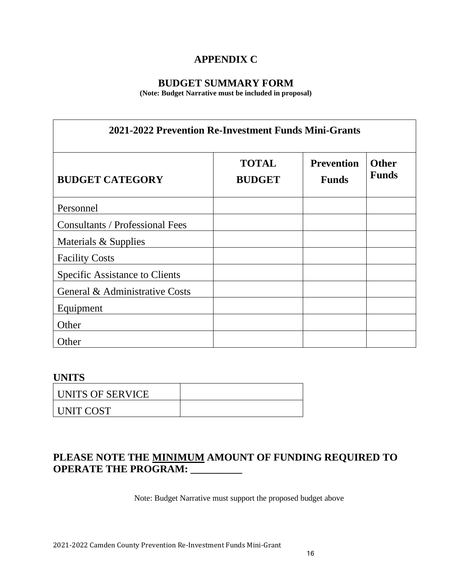# **APPENDIX C**

# **BUDGET SUMMARY FORM**

**(Note: Budget Narrative must be included in proposal)**

| 2021-2022 Prevention Re-Investment Funds Mini-Grants |                               |                                   |                              |  |
|------------------------------------------------------|-------------------------------|-----------------------------------|------------------------------|--|
| <b>BUDGET CATEGORY</b>                               | <b>TOTAL</b><br><b>BUDGET</b> | <b>Prevention</b><br><b>Funds</b> | <b>Other</b><br><b>Funds</b> |  |
| Personnel                                            |                               |                                   |                              |  |
| <b>Consultants / Professional Fees</b>               |                               |                                   |                              |  |
| Materials & Supplies                                 |                               |                                   |                              |  |
| <b>Facility Costs</b>                                |                               |                                   |                              |  |
| Specific Assistance to Clients                       |                               |                                   |                              |  |
| General & Administrative Costs                       |                               |                                   |                              |  |
| Equipment                                            |                               |                                   |                              |  |
| Other                                                |                               |                                   |                              |  |
| Other                                                |                               |                                   |                              |  |

# **UNITS**

| UNITS OF SERVICE |  |
|------------------|--|
| UNIT COST        |  |

# **PLEASE NOTE THE MINIMUM AMOUNT OF FUNDING REQUIRED TO OPERATE THE PROGRAM: \_\_\_\_\_\_\_\_\_\_**

Note: Budget Narrative must support the proposed budget above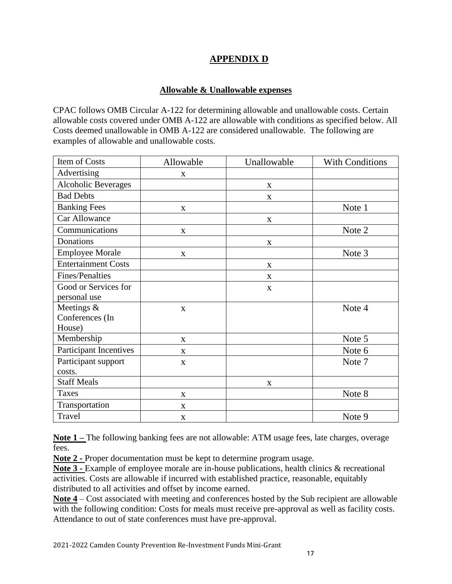# **APPENDIX D**

#### **Allowable & Unallowable expenses**

CPAC follows OMB Circular A-122 for determining allowable and unallowable costs. Certain allowable costs covered under OMB A-122 are allowable with conditions as specified below. All Costs deemed unallowable in OMB A-122 are considered unallowable. The following are examples of allowable and unallowable costs.

| Item of Costs                 | Allowable    | Unallowable | <b>With Conditions</b> |
|-------------------------------|--------------|-------------|------------------------|
| Advertising                   | X            |             |                        |
| <b>Alcoholic Beverages</b>    |              | X           |                        |
| <b>Bad Debts</b>              |              | X           |                        |
| <b>Banking Fees</b>           | X            |             | Note 1                 |
| Car Allowance                 |              | $\mathbf X$ |                        |
| Communications                | X            |             | Note 2                 |
| Donations                     |              | $\mathbf X$ |                        |
| <b>Employee Morale</b>        | $\mathbf X$  |             | Note 3                 |
| <b>Entertainment Costs</b>    |              | X           |                        |
| Fines/Penalties               |              | X           |                        |
| Good or Services for          |              | X           |                        |
| personal use                  |              |             |                        |
| Meetings $&$                  | $\mathbf X$  |             | Note 4                 |
| Conferences (In               |              |             |                        |
| House)                        |              |             |                        |
| Membership                    | X            |             | Note 5                 |
| <b>Participant Incentives</b> | $\mathbf{X}$ |             | Note 6                 |
| Participant support           | $\mathbf X$  |             | Note 7                 |
| costs.                        |              |             |                        |
| <b>Staff Meals</b>            |              | X           |                        |
| <b>Taxes</b>                  | X            |             | Note 8                 |
| Transportation                | $\mathbf X$  |             |                        |
| Travel                        | X            |             | Note 9                 |

**Note 1 –** The following banking fees are not allowable: ATM usage fees, late charges, overage fees.

**Note 2 -** Proper documentation must be kept to determine program usage.

**Note 3 -** Example of employee morale are in-house publications, health clinics & recreational activities. Costs are allowable if incurred with established practice, reasonable, equitably distributed to all activities and offset by income earned.

**Note 4** – Cost associated with meeting and conferences hosted by the Sub recipient are allowable with the following condition: Costs for meals must receive pre-approval as well as facility costs. Attendance to out of state conferences must have pre-approval.